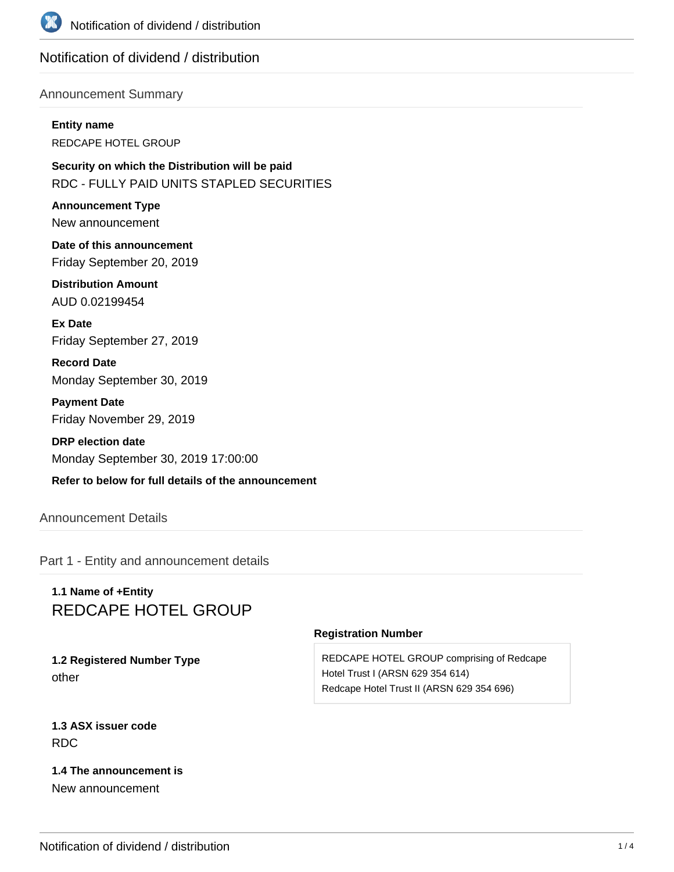

# Notification of dividend / distribution

### Announcement Summary

**Entity name** REDCAPE HOTEL GROUP

**Security on which the Distribution will be paid** RDC - FULLY PAID UNITS STAPLED SECURITIES

**Announcement Type** New announcement

**Date of this announcement** Friday September 20, 2019

**Distribution Amount** AUD 0.02199454

**Ex Date** Friday September 27, 2019

**Record Date** Monday September 30, 2019

**Payment Date** Friday November 29, 2019

**DRP election date** Monday September 30, 2019 17:00:00

# **Refer to below for full details of the announcement**

## Announcement Details

Part 1 - Entity and announcement details

# **1.1 Name of +Entity** REDCAPE HOTEL GROUP

**1.2 Registered Number Type** other

#### **Registration Number**

REDCAPE HOTEL GROUP comprising of Redcape Hotel Trust I (ARSN 629 354 614) Redcape Hotel Trust II (ARSN 629 354 696)

**1.3 ASX issuer code** RDC

**1.4 The announcement is** New announcement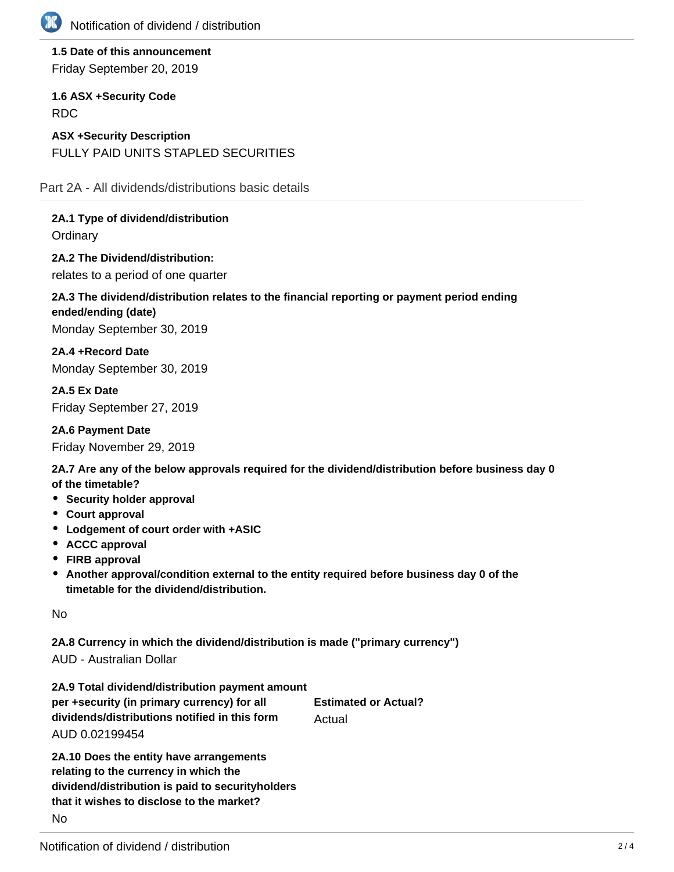

**1.5 Date of this announcement** Friday September 20, 2019

**1.6 ASX +Security Code** RDC

**ASX +Security Description** FULLY PAID UNITS STAPLED SECURITIES

Part 2A - All dividends/distributions basic details

**2A.1 Type of dividend/distribution Ordinary** 

**2A.2 The Dividend/distribution:** relates to a period of one quarter

# **2A.3 The dividend/distribution relates to the financial reporting or payment period ending ended/ending (date)** Monday September 30, 2019

**2A.4 +Record Date** Monday September 30, 2019

**2A.5 Ex Date** Friday September 27, 2019

**2A.6 Payment Date** Friday November 29, 2019

**2A.7 Are any of the below approvals required for the dividend/distribution before business day 0 of the timetable?**

- **•** Security holder approval
- **Court approval**
- **Lodgement of court order with +ASIC**
- **ACCC approval**
- **FIRB approval**
- **Another approval/condition external to the entity required before business day 0 of the timetable for the dividend/distribution.**

No

**2A.8 Currency in which the dividend/distribution is made ("primary currency")**

AUD - Australian Dollar

| 2A.9 Total dividend/distribution payment amount |                             |
|-------------------------------------------------|-----------------------------|
| per +security (in primary currency) for all     | <b>Estimated or Actual?</b> |
| dividends/distributions notified in this form   | Actual                      |
| AUD 0.02199454                                  |                             |
|                                                 |                             |

**2A.10 Does the entity have arrangements relating to the currency in which the dividend/distribution is paid to securityholders that it wishes to disclose to the market?** No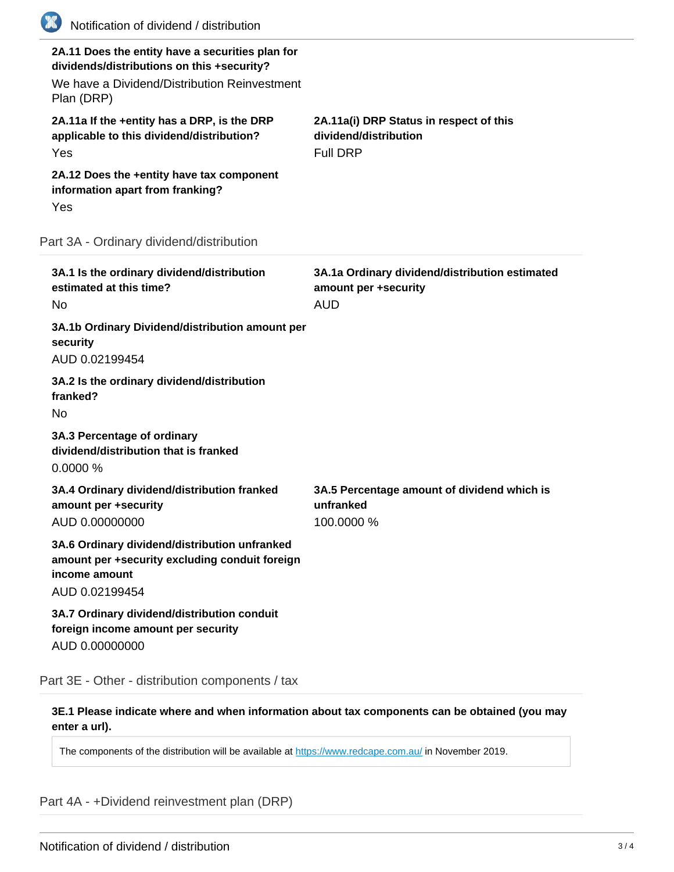| (XX) | Notification of dividend / distribution                                                                                                                      |                                                                                      |
|------|--------------------------------------------------------------------------------------------------------------------------------------------------------------|--------------------------------------------------------------------------------------|
|      | 2A.11 Does the entity have a securities plan for<br>dividends/distributions on this +security?<br>We have a Dividend/Distribution Reinvestment<br>Plan (DRP) |                                                                                      |
|      | 2A.11a If the +entity has a DRP, is the DRP<br>applicable to this dividend/distribution?<br>Yes                                                              | 2A.11a(i) DRP Status in respect of this<br>dividend/distribution<br><b>Full DRP</b>  |
|      | 2A.12 Does the +entity have tax component<br>information apart from franking?<br>Yes                                                                         |                                                                                      |
|      | Part 3A - Ordinary dividend/distribution                                                                                                                     |                                                                                      |
|      | 3A.1 Is the ordinary dividend/distribution<br>estimated at this time?<br>No                                                                                  | 3A.1a Ordinary dividend/distribution estimated<br>amount per +security<br><b>AUD</b> |
|      | 3A.1b Ordinary Dividend/distribution amount per<br>security<br>AUD 0.02199454                                                                                |                                                                                      |
|      | 3A.2 Is the ordinary dividend/distribution<br>franked?<br><b>No</b>                                                                                          |                                                                                      |
|      | 3A.3 Percentage of ordinary<br>dividend/distribution that is franked<br>0.0000%                                                                              |                                                                                      |
|      | 3A.4 Ordinary dividend/distribution franked<br>amount per +security<br>AUD 0.00000000                                                                        | 3A.5 Percentage amount of dividend which is<br>unfranked<br>100.0000 %               |
|      | 3A.6 Ordinary dividend/distribution unfranked<br>amount per +security excluding conduit foreign<br>income amount<br>AUD 0.02199454                           |                                                                                      |
|      | 3A.7 Ordinary dividend/distribution conduit<br>foreign income amount per security<br>AUD 0.00000000                                                          |                                                                                      |

Part 3E - Other - distribution components / tax

**3E.1 Please indicate where and when information about tax components can be obtained (you may enter a url).**

The components of the distribution will be available at <https://www.redcape.com.au/>in November 2019.

Part 4A - +Dividend reinvestment plan (DRP)